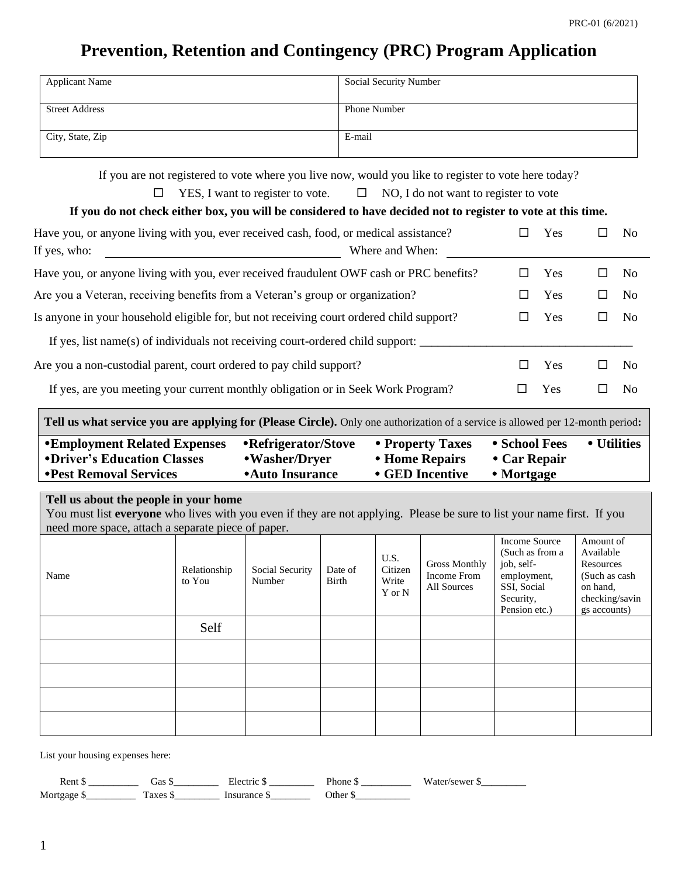# **Prevention, Retention and Contingency (PRC) Program Application**

| <b>Applicant Name</b> | <b>Social Security Number</b> |
|-----------------------|-------------------------------|
|                       |                               |
| <b>Street Address</b> | <b>Phone Number</b>           |
|                       |                               |
| City, State, Zip      | E-mail                        |
|                       |                               |

If you are not registered to vote where you live now, would you like to register to vote here today?

|  | YES, I want to register to vote. |  |  | NO, I do not want to register to vote |
|--|----------------------------------|--|--|---------------------------------------|
|--|----------------------------------|--|--|---------------------------------------|

## **If you do not check either box, you will be considered to have decided not to register to vote at this time.**

| Have you, or anyone living with you, ever received cash, food, or medical assistance?                                                 |   | Yes |   | No |
|---------------------------------------------------------------------------------------------------------------------------------------|---|-----|---|----|
| If yes, who:<br>Where and When:                                                                                                       |   |     |   |    |
| Have you, or anyone living with you, ever received fraudulent OWF cash or PRC benefits?                                               |   | Yes | ப | No |
| Are you a Veteran, receiving benefits from a Veteran's group or organization?                                                         |   | Yes | ப | No |
| Is anyone in your household eligible for, but not receiving court ordered child support?                                              |   | Yes | ш | No |
| If yes, list name(s) of individuals not receiving court-ordered child support:                                                        |   |     |   |    |
| Are you a non-custodial parent, court ordered to pay child support?                                                                   |   | Yes | ப | No |
| If yes, are you meeting your current monthly obligation or in Seek Work Program?                                                      | ப | Yes | Ш | No |
| <b>Tell us what service you are applying for (Please Circle).</b> Only one authorization of a service is allowed per 12-month period: |   |     |   |    |

| <b>•Employment Related Expenses</b> | • Refrigerator/Stove | • Property Taxes | • School Fees        | • Utilities |
|-------------------------------------|----------------------|------------------|----------------------|-------------|
| •Driver's Education Classes         | •Washer/Dryer        | • Home Repairs   | $\bullet$ Car Repair |             |
| • Pest Removal Services             | • Auto Insurance     | • GED Incentive  | • Mortgage           |             |
|                                     |                      |                  |                      |             |

## **Tell us about the people in your home**

You must list **everyone** who lives with you even if they are not applying. Please be sure to list your name first. If you need more space, attach a separate piece of paper.

| Name | Relationship<br>to You | Social Security<br>Number | Date of<br>Birth | U.S.<br>Citizen<br>Write<br>Y or N | <b>Gross Monthly</b><br>Income From<br>All Sources | Income Source<br>(Such as from a<br>job, self-<br>employment,<br>SSI, Social<br>Security,<br>Pension etc.) | Amount of<br>Available<br>Resources<br>(Such as cash)<br>on hand,<br>checking/savin<br>gs accounts) |
|------|------------------------|---------------------------|------------------|------------------------------------|----------------------------------------------------|------------------------------------------------------------------------------------------------------------|-----------------------------------------------------------------------------------------------------|
|      | Self                   |                           |                  |                                    |                                                    |                                                                                                            |                                                                                                     |
|      |                        |                           |                  |                                    |                                                    |                                                                                                            |                                                                                                     |
|      |                        |                           |                  |                                    |                                                    |                                                                                                            |                                                                                                     |
|      |                        |                           |                  |                                    |                                                    |                                                                                                            |                                                                                                     |
|      |                        |                           |                  |                                    |                                                    |                                                                                                            |                                                                                                     |

List your housing expenses here:

| $\alpha$ n | Gas        | .        | 'hone | . |
|------------|------------|----------|-------|---|
|            | -----      |          |       |   |
| Mort       | $^{\circ}$ | $\alpha$ |       |   |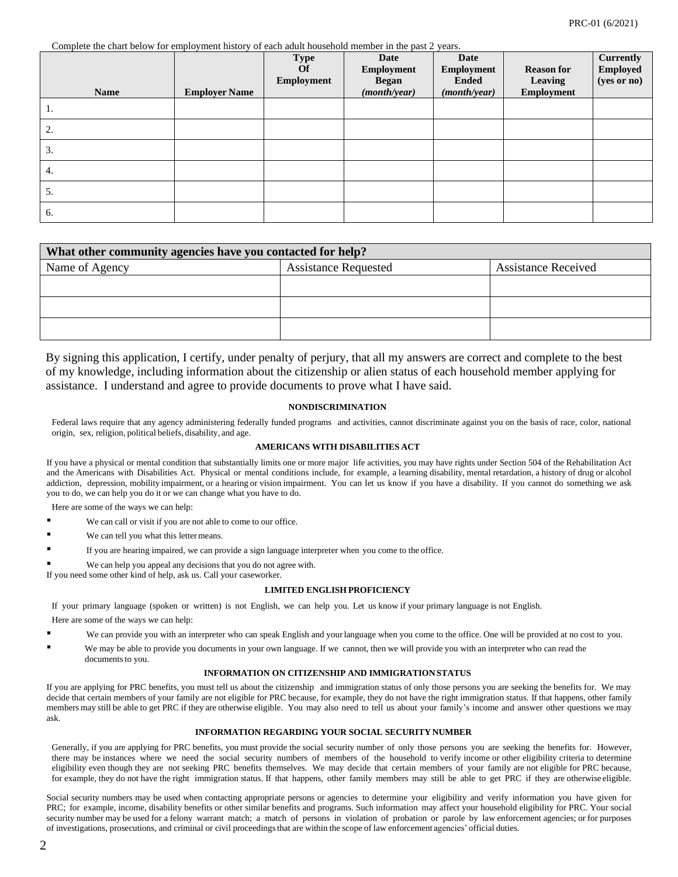Complete the chart below for employment history of each adult household member in the past 2 years.

|             |                      | <b>Type</b><br><b>Of</b> | Date<br>Employment           | <b>Date</b><br>Employment    | <b>Reason for</b>     | <b>Currently</b><br><b>Employed</b> |
|-------------|----------------------|--------------------------|------------------------------|------------------------------|-----------------------|-------------------------------------|
| <b>Name</b> | <b>Employer Name</b> | Employment               | <b>Began</b><br>(month/year) | <b>Ended</b><br>(month/year) | Leaving<br>Employment | (yes or no)                         |
| 1.          |                      |                          |                              |                              |                       |                                     |
| 2.          |                      |                          |                              |                              |                       |                                     |
| 3.          |                      |                          |                              |                              |                       |                                     |
| 4.          |                      |                          |                              |                              |                       |                                     |
| 5.          |                      |                          |                              |                              |                       |                                     |
| 6.          |                      |                          |                              |                              |                       |                                     |

| What other community agencies have you contacted for help? |                                                           |  |  |  |  |  |
|------------------------------------------------------------|-----------------------------------------------------------|--|--|--|--|--|
| Name of Agency                                             | <b>Assistance Requested</b><br><b>Assistance Received</b> |  |  |  |  |  |
|                                                            |                                                           |  |  |  |  |  |
|                                                            |                                                           |  |  |  |  |  |
|                                                            |                                                           |  |  |  |  |  |

By signing this application, I certify, under penalty of perjury, that all my answers are correct and complete to the best of my knowledge, including information about the citizenship or alien status of each household member applying for assistance. I understand and agree to provide documents to prove what I have said.

### **NONDISCRIMINATION**

Federal laws require that any agency administering federally funded programs and activities, cannot discriminate against you on the basis of race, color, national origin, sex, religion, political beliefs, disability, and age.

#### **AMERICANS WITH DISABILITIES ACT**

If you have a physical or mental condition that substantially limits one or more major life activities, you may have rights under Section 504 of the Rehabilitation Act and the Americans with Disabilities Act. Physical or mental conditions include, for example, a learning disability, mental retardation, a history of drug or alcohol addiction, depression, mobility impairment, or a hearing or vision impairment. You can let us know if you have a disability. If you cannot do something we ask you to do, we can help you do it or we can change what you have to do.

Here are some of the ways we can help:

- We can call or visit if you are not able to come to our office.
- We can tell you what this letter means.
- If you are hearing impaired, we can provide a sign language interpreter when you come to the office.
- We can help you appeal any decisions that you do not agree with.

If you need some other kind of help, ask us. Call your caseworker.

### **LIMITED ENGLISH PROFICIENCY**

If your primary language (spoken or written) is not English, we can help you. Let us know if your primary language is not English. Here are some of the ways we can help:

- We can provide you with an interpreter who can speak English and your language when you come to the office. One will be provided at no cost to you.
- We may be able to provide you documents in your own language. If we cannot, then we will provide you with an interpreter who can read the documents to you.

#### **INFORMATION ON CITIZENSHIP AND IMMIGRATIONSTATUS**

If you are applying for PRC benefits, you must tell us about the citizenship and immigration status of only those persons you are seeking the benefits for. We may decide that certain members of your family are not eligible for PRC because, for example, they do not have the right immigration status. If that happens, other family members may still be able to get PRC if they are otherwise eligible. You may also need to tell us about your family's income and answer other questions we may ask.

### **INFORMATION REGARDING YOUR SOCIAL SECURITY NUMBER**

Generally, if you are applying for PRC benefits, you must provide the social security number of only those persons you are seeking the benefits for. However, there may be instances where we need the social security numbers of members of the household to verify income or other eligibility criteria to determine eligibility even though they are not seeking PRC benefits themselves. We may decide that certain members of your family are not eligible for PRC because, for example, they do not have the right immigration status. If that happens, other family members may still be able to get PRC if they are otherwise eligible.

Social security numbers may be used when contacting appropriate persons or agencies to determine your eligibility and verify information you have given for PRC; for example, income, disability benefits or other similar benefits and programs. Such information may affect your household eligibility for PRC. Your social security number may be used for a felony warrant match; a match of persons in violation of probation or parole by law enforcement agencies; or for purposes of investigations, prosecutions, and criminal or civil proceedingsthat are within the scope of law enforcement agencies' official duties.